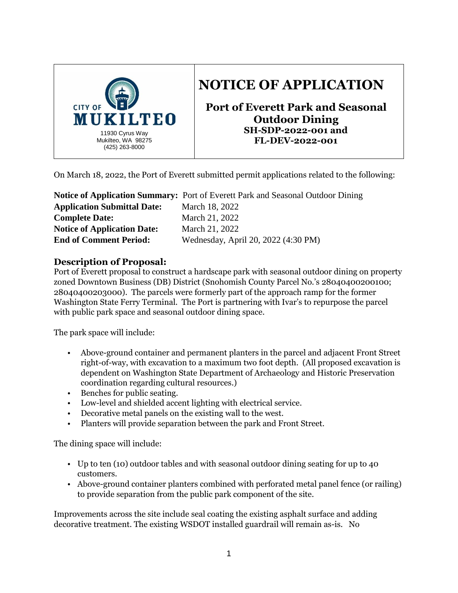

# **NOTICE OF APPLICATION**

**Port of Everett Park and Seasonal Outdoor Dining SH-SDP-2022-001 and FL-DEV-2022-001**

On March 18, 2022, the Port of Everett submitted permit applications related to the following:

|                                    | <b>Notice of Application Summary:</b> Port of Everett Park and Seasonal Outdoor Dining |
|------------------------------------|----------------------------------------------------------------------------------------|
| <b>Application Submittal Date:</b> | March 18, 2022                                                                         |
| <b>Complete Date:</b>              | March 21, 2022                                                                         |
| <b>Notice of Application Date:</b> | March 21, 2022                                                                         |
| <b>End of Comment Period:</b>      | Wednesday, April 20, 2022 (4:30 PM)                                                    |

## **Description of Proposal:**

Port of Everett proposal to construct a hardscape park with seasonal outdoor dining on property zoned Downtown Business (DB) District (Snohomish County Parcel No.'s 28040400200100; 28040400203000). The parcels were formerly part of the approach ramp for the former Washington State Ferry Terminal. The Port is partnering with Ivar's to repurpose the parcel with public park space and seasonal outdoor dining space.

The park space will include:

- Above-ground container and permanent planters in the parcel and adjacent Front Street right-of-way, with excavation to a maximum two foot depth. (All proposed excavation is dependent on Washington State Department of Archaeology and Historic Preservation coordination regarding cultural resources.)
- Benches for public seating.
- Low-level and shielded accent lighting with electrical service.
- Decorative metal panels on the existing wall to the west.
- Planters will provide separation between the park and Front Street.

The dining space will include:

- Up to ten (10) outdoor tables and with seasonal outdoor dining seating for up to 40 customers.
- Above-ground container planters combined with perforated metal panel fence (or railing) to provide separation from the public park component of the site.

Improvements across the site include seal coating the existing asphalt surface and adding decorative treatment. The existing WSDOT installed guardrail will remain as-is. No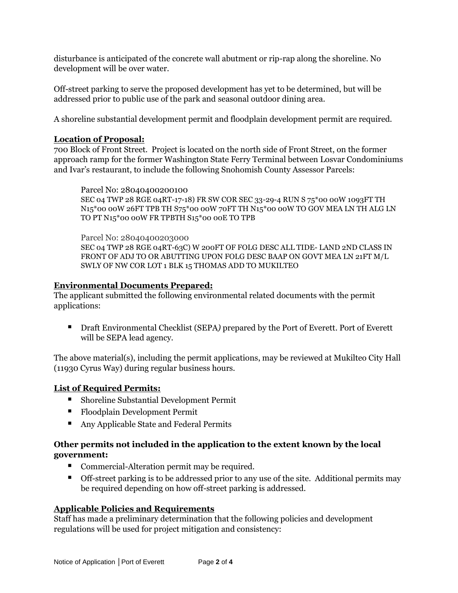disturbance is anticipated of the concrete wall abutment or rip-rap along the shoreline. No development will be over water.

Off-street parking to serve the proposed development has yet to be determined, but will be addressed prior to public use of the park and seasonal outdoor dining area.

A shoreline substantial development permit and floodplain development permit are required.

## **Location of Proposal:**

700 Block of Front Street. Project is located on the north side of Front Street, on the former approach ramp for the former Washington State Ferry Terminal between Losvar Condominiums and Ivar's restaurant, to include the following Snohomish County Assessor Parcels:

Parcel No: 28040400200100 SEC 04 TWP 28 RGE 04RT-17-18) FR SW COR SEC 33-29-4 RUN S 75\*00 00W 1093FT TH N15\*00 00W 26FT TPB TH S75\*00 00W 70FT TH N15\*00 00W TO GOV MEA LN TH ALG LN TO PT N15\*00 00W FR TPBTH S15\*00 00E TO TPB

Parcel No: 28040400203000 SEC 04 TWP 28 RGE 04RT-63C) W 200FT OF FOLG DESC ALL TIDE- LAND 2ND CLASS IN FRONT OF ADJ TO OR ABUTTING UPON FOLG DESC BAAP ON GOVT MEA LN 21FT M/L SWLY OF NW COR LOT 1 BLK 15 THOMAS ADD TO MUKILTEO

## **Environmental Documents Prepared:**

The applicant submitted the following environmental related documents with the permit applications:

■ Draft Environmental Checklist (SEPA) prepared by the Port of Everett. Port of Everett will be SEPA lead agency.

The above material(s), including the permit applications, may be reviewed at Mukilteo City Hall (11930 Cyrus Way) during regular business hours.

## **List of Required Permits:**

- Shoreline Substantial Development Permit
- Floodplain Development Permit
- Any Applicable State and Federal Permits

## **Other permits not included in the application to the extent known by the local government:**

- Commercial-Alteration permit may be required.
- Off-street parking is to be addressed prior to any use of the site. Additional permits may be required depending on how off-street parking is addressed.

# **Applicable Policies and Requirements**

Staff has made a preliminary determination that the following policies and development regulations will be used for project mitigation and consistency: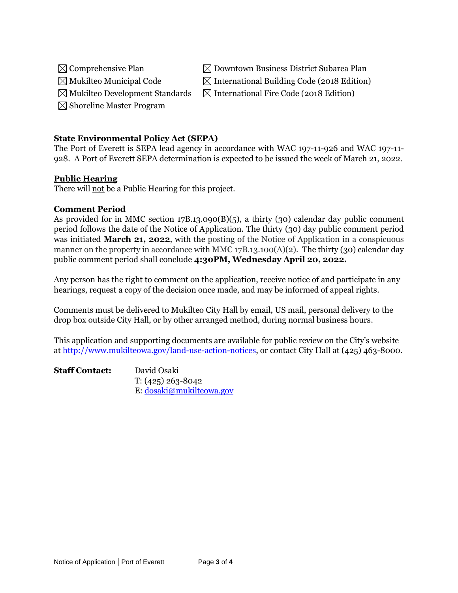- 
- 
- 
- $\boxtimes$  Shoreline Master Program

## **State Environmental Policy Act (SEPA)**

The Port of Everett is SEPA lead agency in accordance with WAC 197-11-926 and WAC 197-11- 928. A Port of Everett SEPA determination is expected to be issued the week of March 21, 2022.

## **Public Hearing**

There will not be a Public Hearing for this project.

#### **Comment Period**

As provided for in MMC section 17B.13.090(B)(5), a thirty (30) calendar day public comment period follows the date of the Notice of Application. The thirty (30) day public comment period was initiated **March 21, 2022**, with the posting of the Notice of Application in a conspicuous manner on the property in accordance with MMC 17B.13.100(A)(2). The thirty (30) calendar day public comment period shall conclude **4:30PM, Wednesday April 20, 2022.**

Any person has the right to comment on the application, receive notice of and participate in any hearings, request a copy of the decision once made, and may be informed of appeal rights.

Comments must be delivered to Mukilteo City Hall by email, US mail, personal delivery to the drop box outside City Hall, or by other arranged method, during normal business hours.

This application and supporting documents are available for public review on the City's website at [http://www.mukilteowa.gov/land-use-action-notices,](http://www.mukilteowa.gov/land-use-action-notices) or contact City Hall at (425) 463-8000.

| <b>Staff Contact:</b> | David Osaki              |
|-----------------------|--------------------------|
|                       | $T: (425) 263 - 8042$    |
|                       | E: dosaki@mukilteowa.gov |

 $\boxtimes$  Comprehensive Plan  $\boxtimes$  Downtown Business District Subarea Plan  $\boxtimes$  Mukilteo Municipal Code  $\boxtimes$  International Building Code (2018 Edition)

 $\boxtimes$  Mukilteo Development Standards  $\boxtimes$  International Fire Code (2018 Edition)